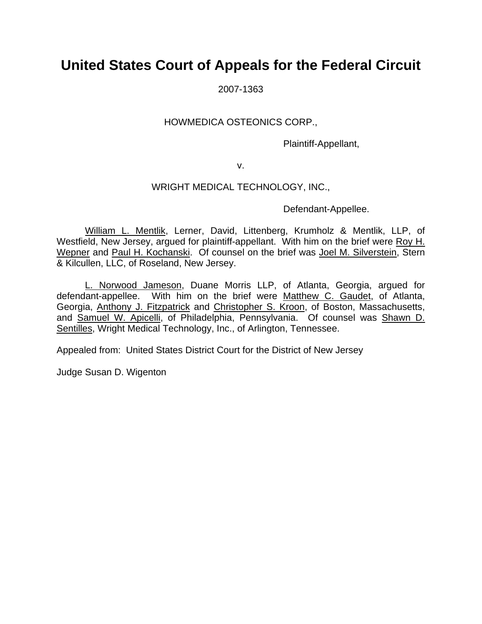# **United States Court of Appeals for the Federal Circuit**

2007-1363

### HOWMEDICA OSTEONICS CORP.,

Plaintiff-Appellant,

v.

### WRIGHT MEDICAL TECHNOLOGY, INC.,

Defendant-Appellee.

William L. Mentlik, Lerner, David, Littenberg, Krumholz & Mentlik, LLP, of Westfield, New Jersey, argued for plaintiff-appellant. With him on the brief were Roy H. Wepner and Paul H. Kochanski. Of counsel on the brief was Joel M. Silverstein, Stern & Kilcullen, LLC, of Roseland, New Jersey.

L. Norwood Jameson, Duane Morris LLP, of Atlanta, Georgia, argued for defendant-appellee. With him on the brief were Matthew C. Gaudet, of Atlanta, Georgia, Anthony J. Fitzpatrick and Christopher S. Kroon, of Boston, Massachusetts, and Samuel W. Apicelli, of Philadelphia, Pennsylvania. Of counsel was Shawn D. Sentilles, Wright Medical Technology, Inc., of Arlington, Tennessee.

Appealed from: United States District Court for the District of New Jersey

Judge Susan D. Wigenton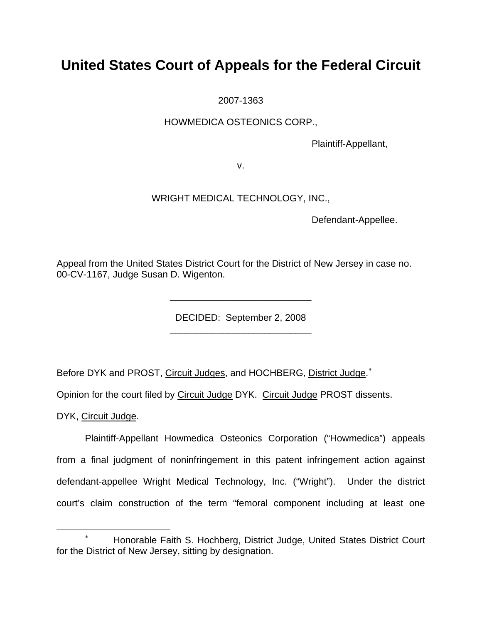# **United States Court of Appeals for the Federal Circuit**

2007-1363

## HOWMEDICA OSTEONICS CORP.,

Plaintiff-Appellant,

v.

## WRIGHT MEDICAL TECHNOLOGY, INC.,

Defendant-Appellee.

Appeal from the United States District Court for the District of New Jersey in case no. 00-CV-1167, Judge Susan D. Wigenton.

DECIDED: September 2, 2008

Before DYK and PROST, Circuit Judges, and HOCHBERG, District Judge.<sup>\*</sup>

 $\frac{1}{\sqrt{2}}$  ,  $\frac{1}{\sqrt{2}}$  ,  $\frac{1}{\sqrt{2}}$  ,  $\frac{1}{\sqrt{2}}$  ,  $\frac{1}{\sqrt{2}}$  ,  $\frac{1}{\sqrt{2}}$  ,  $\frac{1}{\sqrt{2}}$  ,  $\frac{1}{\sqrt{2}}$  ,  $\frac{1}{\sqrt{2}}$  ,  $\frac{1}{\sqrt{2}}$  ,  $\frac{1}{\sqrt{2}}$  ,  $\frac{1}{\sqrt{2}}$  ,  $\frac{1}{\sqrt{2}}$  ,  $\frac{1}{\sqrt{2}}$  ,  $\frac{1}{\sqrt{2}}$ 

 $\frac{1}{2}$  ,  $\frac{1}{2}$  ,  $\frac{1}{2}$  ,  $\frac{1}{2}$  ,  $\frac{1}{2}$  ,  $\frac{1}{2}$  ,  $\frac{1}{2}$  ,  $\frac{1}{2}$  ,  $\frac{1}{2}$  ,  $\frac{1}{2}$  ,  $\frac{1}{2}$  ,  $\frac{1}{2}$  ,  $\frac{1}{2}$  ,  $\frac{1}{2}$  ,  $\frac{1}{2}$  ,  $\frac{1}{2}$  ,  $\frac{1}{2}$  ,  $\frac{1}{2}$  ,  $\frac{1$ 

Opinion for the court filed by Circuit Judge DYK. Circuit Judge PROST dissents.

DYK, Circuit Judge.

 $\overline{a}$ 

 Plaintiff-Appellant Howmedica Osteonics Corporation ("Howmedica") appeals from a final judgment of noninfringement in this patent infringement action against defendant-appellee Wright Medical Technology, Inc. ("Wright"). Under the district court's claim construction of the term "femoral component including at least one

<span id="page-1-0"></span><sup>∗</sup> Honorable Faith S. Hochberg, District Judge, United States District Court for the District of New Jersey, sitting by designation.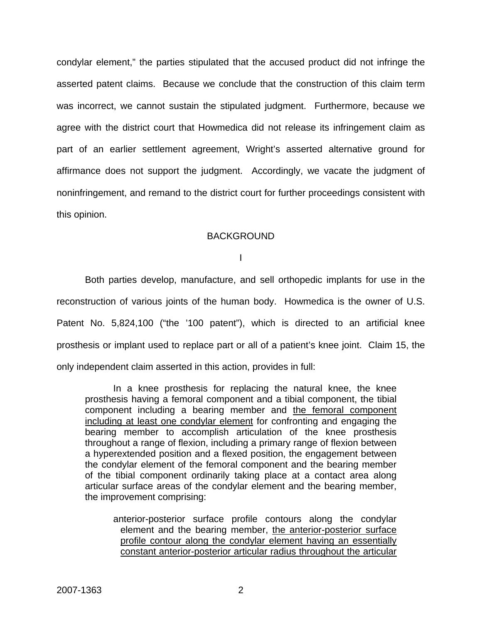condylar element," the parties stipulated that the accused product did not infringe the asserted patent claims. Because we conclude that the construction of this claim term was incorrect, we cannot sustain the stipulated judgment. Furthermore, because we agree with the district court that Howmedica did not release its infringement claim as part of an earlier settlement agreement, Wright's asserted alternative ground for affirmance does not support the judgment. Accordingly, we vacate the judgment of noninfringement, and remand to the district court for further proceedings consistent with this opinion.

#### **BACKGROUND**

I

Both parties develop, manufacture, and sell orthopedic implants for use in the reconstruction of various joints of the human body. Howmedica is the owner of U.S. Patent No. 5,824,100 ("the '100 patent"), which is directed to an artificial knee prosthesis or implant used to replace part or all of a patient's knee joint. Claim 15, the only independent claim asserted in this action, provides in full:

In a knee prosthesis for replacing the natural knee, the knee prosthesis having a femoral component and a tibial component, the tibial component including a bearing member and the femoral component including at least one condylar element for confronting and engaging the bearing member to accomplish articulation of the knee prosthesis throughout a range of flexion, including a primary range of flexion between a hyperextended position and a flexed position, the engagement between the condylar element of the femoral component and the bearing member of the tibial component ordinarily taking place at a contact area along articular surface areas of the condylar element and the bearing member, the improvement comprising:

anterior-posterior surface profile contours along the condylar element and the bearing member, the anterior-posterior surface profile contour along the condylar element having an essentially constant anterior-posterior articular radius throughout the articular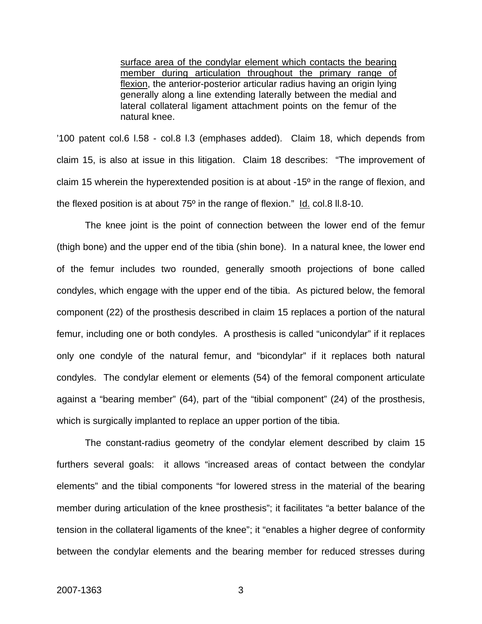surface area of the condylar element which contacts the bearing member during articulation throughout the primary range of flexion, the anterior-posterior articular radius having an origin lying generally along a line extending laterally between the medial and lateral collateral ligament attachment points on the femur of the natural knee.

'100 patent col.6 l.58 - col.8 l.3 (emphases added). Claim 18, which depends from claim 15, is also at issue in this litigation. Claim 18 describes: "The improvement of claim 15 wherein the hyperextended position is at about -15º in the range of flexion, and the flexed position is at about  $75^{\circ}$  in the range of flexion."  $\underline{Id.}$  col.8 II.8-10.

The knee joint is the point of connection between the lower end of the femur (thigh bone) and the upper end of the tibia (shin bone). In a natural knee, the lower end of the femur includes two rounded, generally smooth projections of bone called condyles, which engage with the upper end of the tibia. As pictured below, the femoral component (22) of the prosthesis described in claim 15 replaces a portion of the natural femur, including one or both condyles. A prosthesis is called "unicondylar" if it replaces only one condyle of the natural femur, and "bicondylar" if it replaces both natural condyles. The condylar element or elements (54) of the femoral component articulate against a "bearing member" (64), part of the "tibial component" (24) of the prosthesis, which is surgically implanted to replace an upper portion of the tibia.

The constant-radius geometry of the condylar element described by claim 15 furthers several goals: it allows "increased areas of contact between the condylar elements" and the tibial components "for lowered stress in the material of the bearing member during articulation of the knee prosthesis"; it facilitates "a better balance of the tension in the collateral ligaments of the knee"; it "enables a higher degree of conformity between the condylar elements and the bearing member for reduced stresses during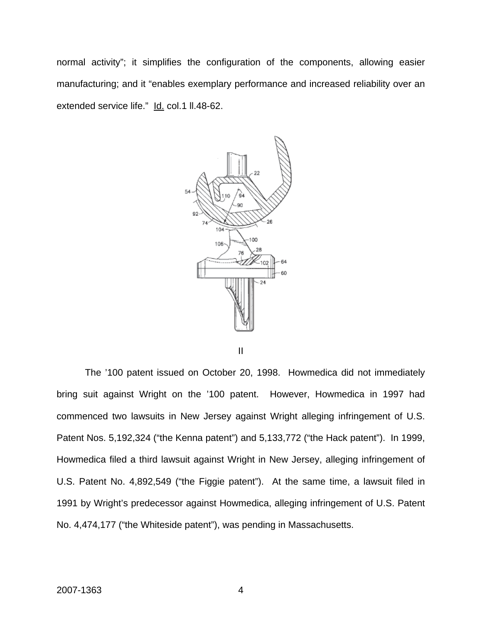normal activity"; it simplifies the configuration of the components, allowing easier manufacturing; and it "enables exemplary performance and increased reliability over an extended service life." Id. col.1 ll.48-62.



 The '100 patent issued on October 20, 1998. Howmedica did not immediately bring suit against Wright on the '100 patent. However, Howmedica in 1997 had commenced two lawsuits in New Jersey against Wright alleging infringement of U.S. Patent Nos. 5,192,324 ("the Kenna patent") and 5,133,772 ("the Hack patent"). In 1999, Howmedica filed a third lawsuit against Wright in New Jersey, alleging infringement of U.S. Patent No. 4,892,549 ("the Figgie patent"). At the same time, a lawsuit filed in 1991 by Wright's predecessor against Howmedica, alleging infringement of U.S. Patent No. 4,474,177 ("the Whiteside patent"), was pending in Massachusetts.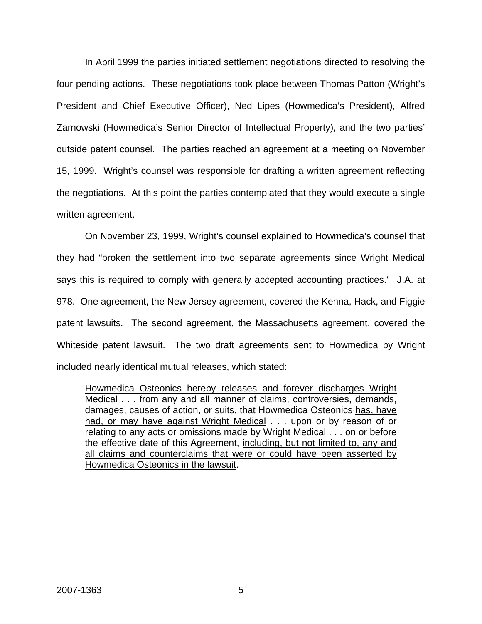In April 1999 the parties initiated settlement negotiations directed to resolving the four pending actions. These negotiations took place between Thomas Patton (Wright's President and Chief Executive Officer), Ned Lipes (Howmedica's President), Alfred Zarnowski (Howmedica's Senior Director of Intellectual Property), and the two parties' outside patent counsel. The parties reached an agreement at a meeting on November 15, 1999. Wright's counsel was responsible for drafting a written agreement reflecting the negotiations. At this point the parties contemplated that they would execute a single written agreement.

On November 23, 1999, Wright's counsel explained to Howmedica's counsel that they had "broken the settlement into two separate agreements since Wright Medical says this is required to comply with generally accepted accounting practices." J.A. at 978. One agreement, the New Jersey agreement, covered the Kenna, Hack, and Figgie patent lawsuits. The second agreement, the Massachusetts agreement, covered the Whiteside patent lawsuit. The two draft agreements sent to Howmedica by Wright included nearly identical mutual releases, which stated:

Howmedica Osteonics hereby releases and forever discharges Wright Medical . . . from any and all manner of claims, controversies, demands, damages, causes of action, or suits, that Howmedica Osteonics has, have had, or may have against Wright Medical . . . upon or by reason of or relating to any acts or omissions made by Wright Medical . . . on or before the effective date of this Agreement, including, but not limited to, any and all claims and counterclaims that were or could have been asserted by Howmedica Osteonics in the lawsuit.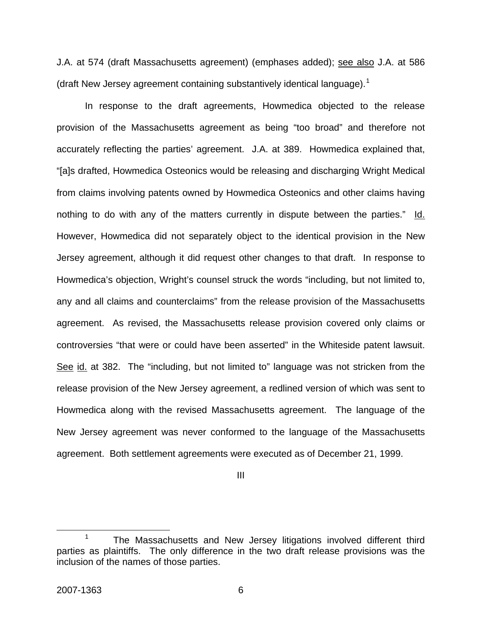J.A. at 574 (draft Massachusetts agreement) (emphases added); see also J.A. at 586 (draft New Jersey agreement containing substantively identical language).<sup>[1](#page-6-0)</sup>

 In response to the draft agreements, Howmedica objected to the release provision of the Massachusetts agreement as being "too broad" and therefore not accurately reflecting the parties' agreement. J.A. at 389. Howmedica explained that, "[a]s drafted, Howmedica Osteonics would be releasing and discharging Wright Medical from claims involving patents owned by Howmedica Osteonics and other claims having nothing to do with any of the matters currently in dispute between the parties." Id. However, Howmedica did not separately object to the identical provision in the New Jersey agreement, although it did request other changes to that draft. In response to Howmedica's objection, Wright's counsel struck the words "including, but not limited to, any and all claims and counterclaims" from the release provision of the Massachusetts agreement. As revised, the Massachusetts release provision covered only claims or controversies "that were or could have been asserted" in the Whiteside patent lawsuit. See id. at 382. The "including, but not limited to" language was not stricken from the release provision of the New Jersey agreement, a redlined version of which was sent to Howmedica along with the revised Massachusetts agreement. The language of the New Jersey agreement was never conformed to the language of the Massachusetts agreement. Both settlement agreements were executed as of December 21, 1999.

III

<span id="page-6-0"></span> $\frac{1}{1}$ <sup>1</sup> The Massachusetts and New Jersey litigations involved different third parties as plaintiffs. The only difference in the two draft release provisions was the inclusion of the names of those parties.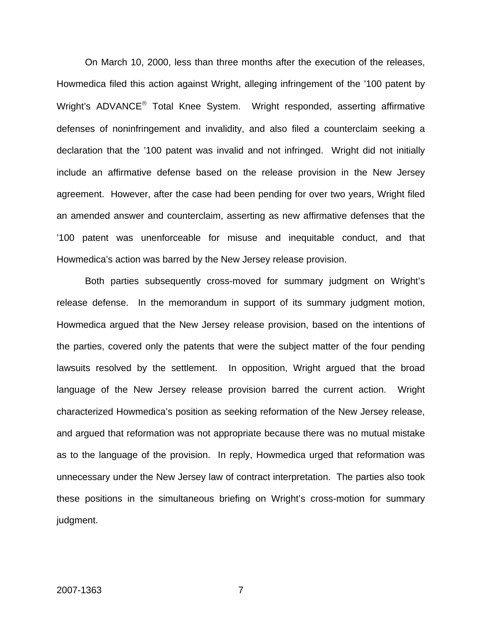On March 10, 2000, less than three months after the execution of the releases, Howmedica filed this action against Wright, alleging infringement of the '100 patent by Wright's ADVANCE® Total Knee System. Wright responded, asserting affirmative defenses of noninfringement and invalidity, and also filed a counterclaim seeking a declaration that the '100 patent was invalid and not infringed. Wright did not initially include an affirmative defense based on the release provision in the New Jersey agreement. However, after the case had been pending for over two years, Wright filed an amended answer and counterclaim, asserting as new affirmative defenses that the '100 patent was unenforceable for misuse and inequitable conduct, and that Howmedica's action was barred by the New Jersey release provision.

Both parties subsequently cross-moved for summary judgment on Wright's release defense. In the memorandum in support of its summary judgment motion, Howmedica argued that the New Jersey release provision, based on the intentions of the parties, covered only the patents that were the subject matter of the four pending lawsuits resolved by the settlement. In opposition, Wright argued that the broad language of the New Jersey release provision barred the current action. Wright characterized Howmedica's position as seeking reformation of the New Jersey release, and argued that reformation was not appropriate because there was no mutual mistake as to the language of the provision. In reply, Howmedica urged that reformation was unnecessary under the New Jersey law of contract interpretation. The parties also took these positions in the simultaneous briefing on Wright's cross-motion for summary judgment.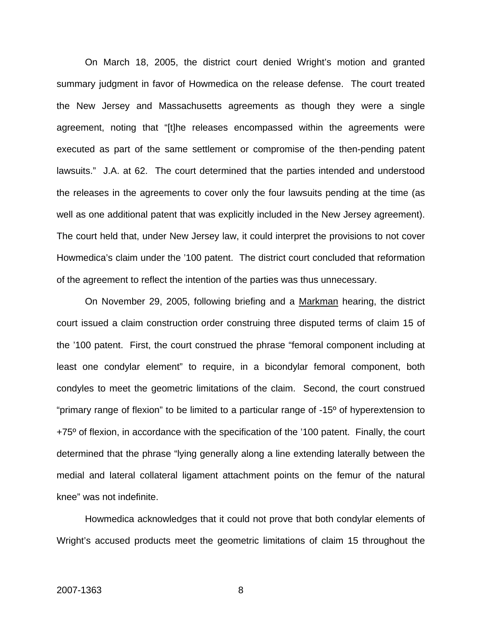On March 18, 2005, the district court denied Wright's motion and granted summary judgment in favor of Howmedica on the release defense. The court treated the New Jersey and Massachusetts agreements as though they were a single agreement, noting that "[t]he releases encompassed within the agreements were executed as part of the same settlement or compromise of the then-pending patent lawsuits." J.A. at 62. The court determined that the parties intended and understood the releases in the agreements to cover only the four lawsuits pending at the time (as well as one additional patent that was explicitly included in the New Jersey agreement). The court held that, under New Jersey law, it could interpret the provisions to not cover Howmedica's claim under the '100 patent. The district court concluded that reformation of the agreement to reflect the intention of the parties was thus unnecessary.

On November 29, 2005, following briefing and a Markman hearing, the district court issued a claim construction order construing three disputed terms of claim 15 of the '100 patent. First, the court construed the phrase "femoral component including at least one condylar element" to require, in a bicondylar femoral component, both condyles to meet the geometric limitations of the claim. Second, the court construed "primary range of flexion" to be limited to a particular range of -15º of hyperextension to +75<sup>o</sup> of flexion, in accordance with the specification of the '100 patent. Finally, the court determined that the phrase "lying generally along a line extending laterally between the medial and lateral collateral ligament attachment points on the femur of the natural knee" was not indefinite.

Howmedica acknowledges that it could not prove that both condylar elements of Wright's accused products meet the geometric limitations of claim 15 throughout the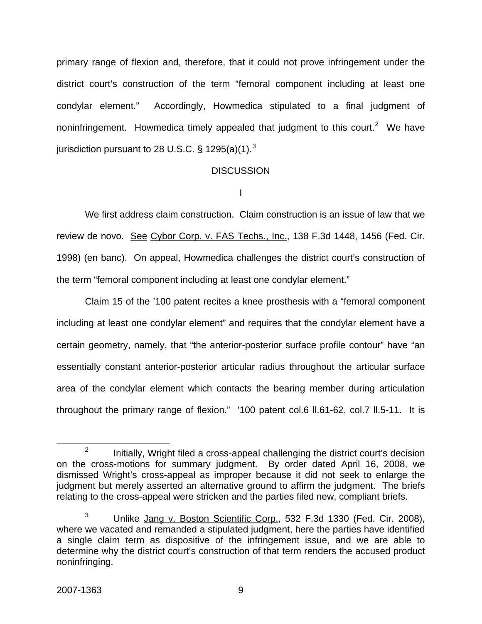primary range of flexion and, therefore, that it could not prove infringement under the district court's construction of the term "femoral component including at least one condylar element." Accordingly, Howmedica stipulated to a final judgment of noninfringement. Howmedica timely appealed that judgment to this court.<sup>[2](#page-9-0)</sup> We have jurisdiction pursuant to 28 U.S.C.  $\S$  1295(a)(1).<sup>[3](#page-9-1)</sup>

#### **DISCUSSION**

I

 We first address claim construction. Claim construction is an issue of law that we review de novo. See Cybor Corp. v. FAS Techs., Inc., 138 F.3d 1448, 1456 (Fed. Cir. 1998) (en banc). On appeal, Howmedica challenges the district court's construction of the term "femoral component including at least one condylar element."

 Claim 15 of the '100 patent recites a knee prosthesis with a "femoral component including at least one condylar element" and requires that the condylar element have a certain geometry, namely, that "the anterior-posterior surface profile contour" have "an essentially constant anterior-posterior articular radius throughout the articular surface area of the condylar element which contacts the bearing member during articulation throughout the primary range of flexion." '100 patent col.6 ll.61-62, col.7 ll.5-11. It is

<span id="page-9-0"></span> $\frac{1}{2}$  $12$  Initially, Wright filed a cross-appeal challenging the district court's decision on the cross-motions for summary judgment. By order dated April 16, 2008, we dismissed Wright's cross-appeal as improper because it did not seek to enlarge the judgment but merely asserted an alternative ground to affirm the judgment. The briefs relating to the cross-appeal were stricken and the parties filed new, compliant briefs.

<span id="page-9-1"></span><sup>3</sup> Unlike Jang v. Boston Scientific Corp., 532 F.3d 1330 (Fed. Cir. 2008), where we vacated and remanded a stipulated judgment, here the parties have identified a single claim term as dispositive of the infringement issue, and we are able to determine why the district court's construction of that term renders the accused product noninfringing.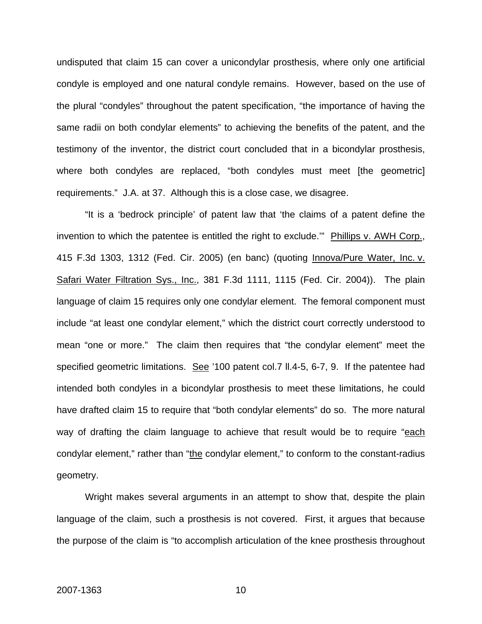undisputed that claim 15 can cover a unicondylar prosthesis, where only one artificial condyle is employed and one natural condyle remains. However, based on the use of the plural "condyles" throughout the patent specification, "the importance of having the same radii on both condylar elements" to achieving the benefits of the patent, and the testimony of the inventor, the district court concluded that in a bicondylar prosthesis, where both condyles are replaced, "both condyles must meet [the geometric] requirements." J.A. at 37. Although this is a close case, we disagree.

"It is a 'bedrock principle' of patent law that 'the claims of a patent define the invention to which the patentee is entitled the right to exclude.'" Phillips v. AWH Corp., 415 F.3d 1303, 1312 (Fed. Cir. 2005) (en banc) (quoting Innova/Pure Water, Inc. v. Safari Water Filtration Sys., Inc., 381 F.3d 1111, 1115 (Fed. Cir. 2004)). The plain language of claim 15 requires only one condylar element. The femoral component must include "at least one condylar element," which the district court correctly understood to mean "one or more." The claim then requires that "the condylar element" meet the specified geometric limitations. See '100 patent col.7 II.4-5, 6-7, 9. If the patentee had intended both condyles in a bicondylar prosthesis to meet these limitations, he could have drafted claim 15 to require that "both condylar elements" do so. The more natural way of drafting the claim language to achieve that result would be to require "each condylar element," rather than "the condylar element," to conform to the constant-radius geometry.

 Wright makes several arguments in an attempt to show that, despite the plain language of the claim, such a prosthesis is not covered. First, it argues that because the purpose of the claim is "to accomplish articulation of the knee prosthesis throughout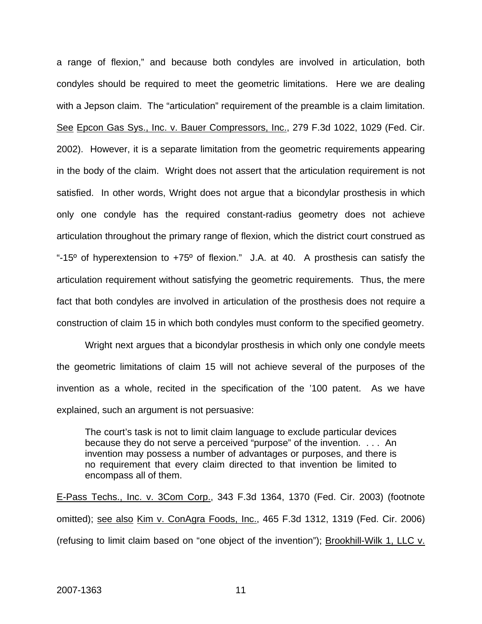a range of flexion," and because both condyles are involved in articulation, both condyles should be required to meet the geometric limitations. Here we are dealing with a Jepson claim. The "articulation" requirement of the preamble is a claim limitation. See Epcon Gas Sys., Inc. v. Bauer Compressors, Inc., 279 F.3d 1022, 1029 (Fed. Cir. 2002). However, it is a separate limitation from the geometric requirements appearing in the body of the claim. Wright does not assert that the articulation requirement is not satisfied. In other words, Wright does not argue that a bicondylar prosthesis in which only one condyle has the required constant-radius geometry does not achieve articulation throughout the primary range of flexion, which the district court construed as "-15<sup>o</sup> of hyperextension to  $+75^{\circ}$  of flexion." J.A. at 40. A prosthesis can satisfy the articulation requirement without satisfying the geometric requirements. Thus, the mere fact that both condyles are involved in articulation of the prosthesis does not require a construction of claim 15 in which both condyles must conform to the specified geometry.

Wright next argues that a bicondylar prosthesis in which only one condyle meets the geometric limitations of claim 15 will not achieve several of the purposes of the invention as a whole, recited in the specification of the '100 patent. As we have explained, such an argument is not persuasive:

The court's task is not to limit claim language to exclude particular devices because they do not serve a perceived "purpose" of the invention. . . . An invention may possess a number of advantages or purposes, and there is no requirement that every claim directed to that invention be limited to encompass all of them.

E-Pass Techs., Inc. v. 3Com Corp., 343 F.3d 1364, 1370 (Fed. Cir. 2003) (footnote omitted); see also Kim v. ConAgra Foods, Inc., 465 F.3d 1312, 1319 (Fed. Cir. 2006) (refusing to limit claim based on "one object of the invention"); Brookhill-Wilk 1, LLC v.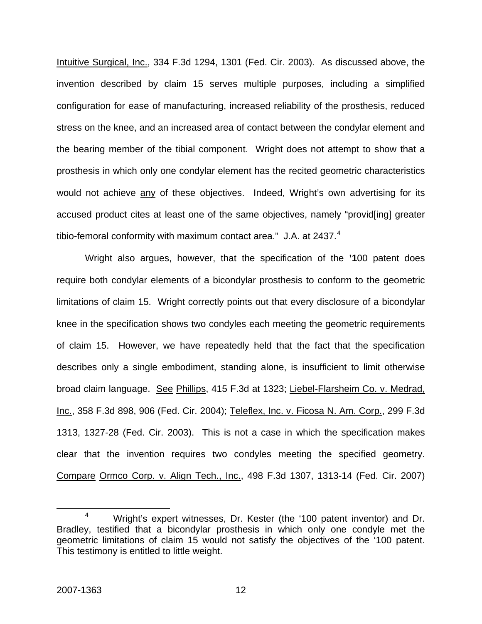Intuitive Surgical, Inc., 334 F.3d 1294, 1301 (Fed. Cir. 2003). As discussed above, the invention described by claim 15 serves multiple purposes, including a simplified configuration for ease of manufacturing, increased reliability of the prosthesis, reduced stress on the knee, and an increased area of contact between the condylar element and the bearing member of the tibial component. Wright does not attempt to show that a prosthesis in which only one condylar element has the recited geometric characteristics would not achieve any of these objectives. Indeed, Wright's own advertising for its accused product cites at least one of the same objectives, namely "provid[ing] greater tibio-femoral conformity with maximum contact area." J.A. at  $2437.^4$  $2437.^4$  $2437.^4$ 

 Wright also argues, however, that the specification of the **'1**00 patent does require both condylar elements of a bicondylar prosthesis to conform to the geometric limitations of claim 15. Wright correctly points out that every disclosure of a bicondylar knee in the specification shows two condyles each meeting the geometric requirements of claim 15. However, we have repeatedly held that the fact that the specification describes only a single embodiment, standing alone, is insufficient to limit otherwise broad claim language. See Phillips, 415 F.3d at 1323; Liebel-Flarsheim Co. v. Medrad, Inc., 358 F.3d 898, 906 (Fed. Cir. 2004); Teleflex, Inc. v. Ficosa N. Am. Corp., 299 F.3d 1313, 1327-28 (Fed. Cir. 2003). This is not a case in which the specification makes clear that the invention requires two condyles meeting the specified geometry. Compare Ormco Corp. v. Align Tech., Inc., 498 F.3d 1307, 1313-14 (Fed. Cir. 2007)

<span id="page-12-0"></span> <sup>4</sup> <sup>4</sup> Wright's expert witnesses, Dr. Kester (the '100 patent inventor) and Dr. Bradley, testified that a bicondylar prosthesis in which only one condyle met the geometric limitations of claim 15 would not satisfy the objectives of the '100 patent. This testimony is entitled to little weight.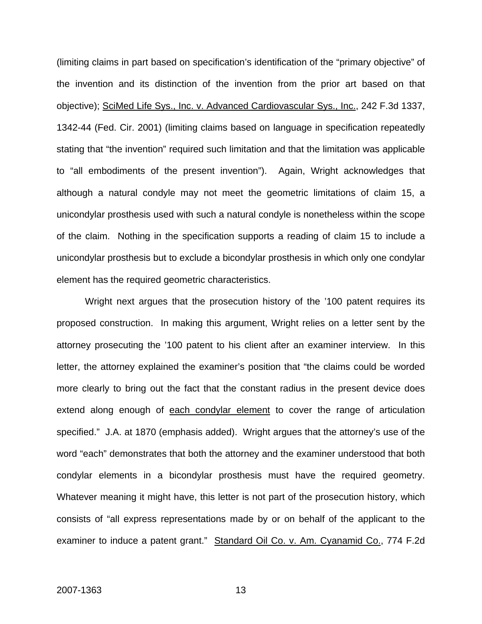(limiting claims in part based on specification's identification of the "primary objective" of the invention and its distinction of the invention from the prior art based on that objective); SciMed Life Sys., Inc. v. Advanced Cardiovascular Sys., Inc., 242 F.3d 1337, 1342-44 (Fed. Cir. 2001) (limiting claims based on language in specification repeatedly stating that "the invention" required such limitation and that the limitation was applicable to "all embodiments of the present invention"). Again, Wright acknowledges that although a natural condyle may not meet the geometric limitations of claim 15, a unicondylar prosthesis used with such a natural condyle is nonetheless within the scope of the claim. Nothing in the specification supports a reading of claim 15 to include a unicondylar prosthesis but to exclude a bicondylar prosthesis in which only one condylar element has the required geometric characteristics.

 Wright next argues that the prosecution history of the '100 patent requires its proposed construction. In making this argument, Wright relies on a letter sent by the attorney prosecuting the '100 patent to his client after an examiner interview. In this letter, the attorney explained the examiner's position that "the claims could be worded more clearly to bring out the fact that the constant radius in the present device does extend along enough of each condylar element to cover the range of articulation specified." J.A. at 1870 (emphasis added). Wright argues that the attorney's use of the word "each" demonstrates that both the attorney and the examiner understood that both condylar elements in a bicondylar prosthesis must have the required geometry. Whatever meaning it might have, this letter is not part of the prosecution history, which consists of "all express representations made by or on behalf of the applicant to the examiner to induce a patent grant." Standard Oil Co. v. Am. Cyanamid Co., 774 F.2d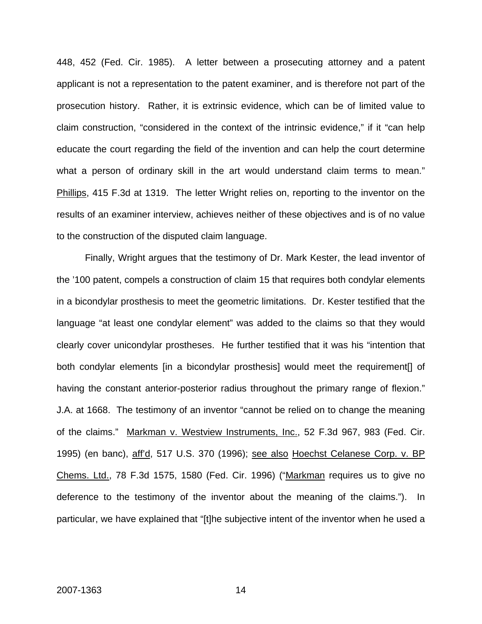448, 452 (Fed. Cir. 1985). A letter between a prosecuting attorney and a patent applicant is not a representation to the patent examiner, and is therefore not part of the prosecution history. Rather, it is extrinsic evidence, which can be of limited value to claim construction, "considered in the context of the intrinsic evidence," if it "can help educate the court regarding the field of the invention and can help the court determine what a person of ordinary skill in the art would understand claim terms to mean." Phillips, 415 F.3d at 1319. The letter Wright relies on, reporting to the inventor on the results of an examiner interview, achieves neither of these objectives and is of no value to the construction of the disputed claim language.

 Finally, Wright argues that the testimony of Dr. Mark Kester, the lead inventor of the '100 patent, compels a construction of claim 15 that requires both condylar elements in a bicondylar prosthesis to meet the geometric limitations. Dr. Kester testified that the language "at least one condylar element" was added to the claims so that they would clearly cover unicondylar prostheses. He further testified that it was his "intention that both condylar elements [in a bicondylar prosthesis] would meet the requirement[] of having the constant anterior-posterior radius throughout the primary range of flexion." J.A. at 1668. The testimony of an inventor "cannot be relied on to change the meaning of the claims." Markman v. Westview Instruments, Inc., 52 F.3d 967, 983 (Fed. Cir. 1995) (en banc), aff'd, 517 U.S. 370 (1996); see also Hoechst Celanese Corp. v. BP Chems. Ltd., 78 F.3d 1575, 1580 (Fed. Cir. 1996) ("Markman requires us to give no deference to the testimony of the inventor about the meaning of the claims."). In particular, we have explained that "[t]he subjective intent of the inventor when he used a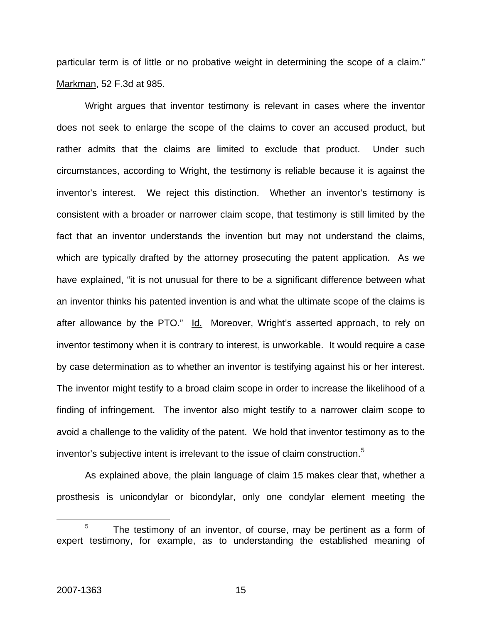particular term is of little or no probative weight in determining the scope of a claim." Markman, 52 F.3d at 985.

Wright argues that inventor testimony is relevant in cases where the inventor does not seek to enlarge the scope of the claims to cover an accused product, but rather admits that the claims are limited to exclude that product. Under such circumstances, according to Wright, the testimony is reliable because it is against the inventor's interest. We reject this distinction. Whether an inventor's testimony is consistent with a broader or narrower claim scope, that testimony is still limited by the fact that an inventor understands the invention but may not understand the claims, which are typically drafted by the attorney prosecuting the patent application. As we have explained, "it is not unusual for there to be a significant difference between what an inventor thinks his patented invention is and what the ultimate scope of the claims is after allowance by the PTO." Id. Moreover, Wright's asserted approach, to rely on inventor testimony when it is contrary to interest, is unworkable. It would require a case by case determination as to whether an inventor is testifying against his or her interest. The inventor might testify to a broad claim scope in order to increase the likelihood of a finding of infringement. The inventor also might testify to a narrower claim scope to avoid a challenge to the validity of the patent. We hold that inventor testimony as to the inventor's subjective intent is irrelevant to the issue of claim construction.[5](#page-15-0)

As explained above, the plain language of claim 15 makes clear that, whether a prosthesis is unicondylar or bicondylar, only one condylar element meeting the

<span id="page-15-0"></span> $\frac{1}{5}$  $5$  The testimony of an inventor, of course, may be pertinent as a form of expert testimony, for example, as to understanding the established meaning of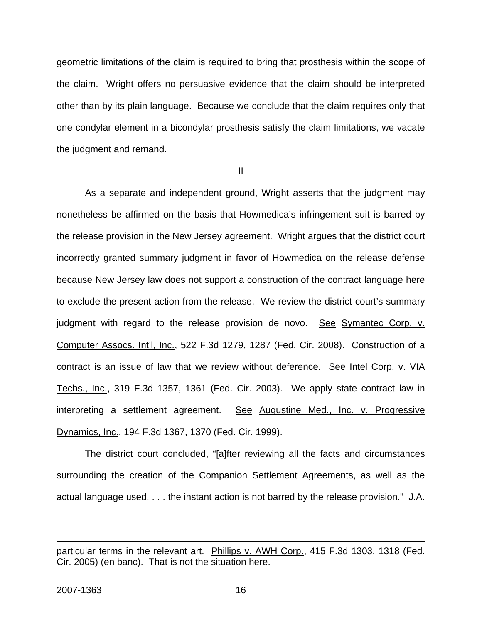geometric limitations of the claim is required to bring that prosthesis within the scope of the claim. Wright offers no persuasive evidence that the claim should be interpreted other than by its plain language. Because we conclude that the claim requires only that one condylar element in a bicondylar prosthesis satisfy the claim limitations, we vacate the judgment and remand.

II

As a separate and independent ground, Wright asserts that the judgment may nonetheless be affirmed on the basis that Howmedica's infringement suit is barred by the release provision in the New Jersey agreement. Wright argues that the district court incorrectly granted summary judgment in favor of Howmedica on the release defense because New Jersey law does not support a construction of the contract language here to exclude the present action from the release. We review the district court's summary judgment with regard to the release provision de novo. See Symantec Corp. v. Computer Assocs. Int'l, Inc., 522 F.3d 1279, 1287 (Fed. Cir. 2008). Construction of a contract is an issue of law that we review without deference. See Intel Corp. v. VIA Techs., Inc., 319 F.3d 1357, 1361 (Fed. Cir. 2003). We apply state contract law in interpreting a settlement agreement. See Augustine Med., Inc. v. Progressive Dynamics, Inc., 194 F.3d 1367, 1370 (Fed. Cir. 1999).

The district court concluded, "[a]fter reviewing all the facts and circumstances surrounding the creation of the Companion Settlement Agreements, as well as the actual language used, . . . the instant action is not barred by the release provision." J.A.

 $\overline{a}$ 

particular terms in the relevant art. Phillips v. AWH Corp., 415 F.3d 1303, 1318 (Fed. Cir. 2005) (en banc). That is not the situation here.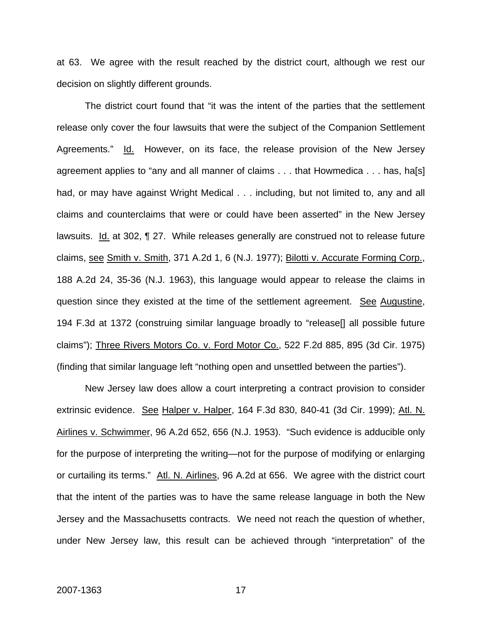at 63. We agree with the result reached by the district court, although we rest our decision on slightly different grounds.

The district court found that "it was the intent of the parties that the settlement release only cover the four lawsuits that were the subject of the Companion Settlement Agreements." Id. However, on its face, the release provision of the New Jersey agreement applies to "any and all manner of claims . . . that Howmedica . . . has, ha[s] had, or may have against Wright Medical . . . including, but not limited to, any and all claims and counterclaims that were or could have been asserted" in the New Jersey lawsuits. Id. at 302, ¶ 27. While releases generally are construed not to release future claims, see Smith v. Smith, 371 A.2d 1, 6 (N.J. 1977); Bilotti v. Accurate Forming Corp., 188 A.2d 24, 35-36 (N.J. 1963), this language would appear to release the claims in question since they existed at the time of the settlement agreement. See Augustine, 194 F.3d at 1372 (construing similar language broadly to "release[] all possible future claims"); Three Rivers Motors Co. v. Ford Motor Co., 522 F.2d 885, 895 (3d Cir. 1975) (finding that similar language left "nothing open and unsettled between the parties").

 New Jersey law does allow a court interpreting a contract provision to consider extrinsic evidence. See Halper v. Halper, 164 F.3d 830, 840-41 (3d Cir. 1999); Atl. N. Airlines v. Schwimmer, 96 A.2d 652, 656 (N.J. 1953). "Such evidence is adducible only for the purpose of interpreting the writing—not for the purpose of modifying or enlarging or curtailing its terms." Atl. N. Airlines, 96 A.2d at 656. We agree with the district court that the intent of the parties was to have the same release language in both the New Jersey and the Massachusetts contracts. We need not reach the question of whether, under New Jersey law, this result can be achieved through "interpretation" of the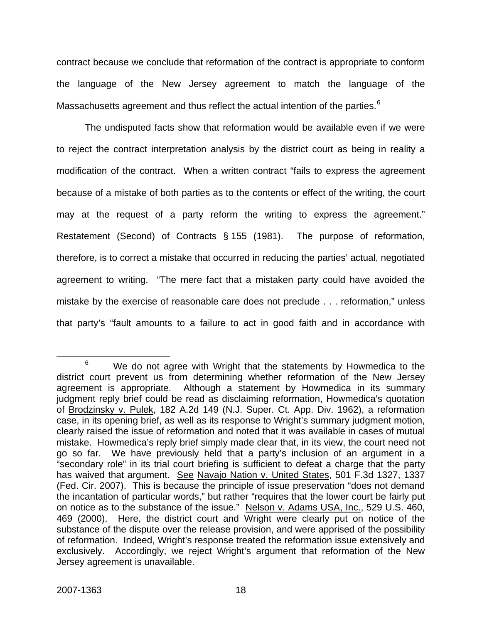contract because we conclude that reformation of the contract is appropriate to conform the language of the New Jersey agreement to match the language of the Massachusetts agreement and thus reflect the actual intention of the parties.<sup>[6](#page-18-0)</sup>

 The undisputed facts show that reformation would be available even if we were to reject the contract interpretation analysis by the district court as being in reality a modification of the contract. When a written contract "fails to express the agreement because of a mistake of both parties as to the contents or effect of the writing, the court may at the request of a party reform the writing to express the agreement." Restatement (Second) of Contracts § 155 (1981). The purpose of reformation, therefore, is to correct a mistake that occurred in reducing the parties' actual, negotiated agreement to writing. "The mere fact that a mistaken party could have avoided the mistake by the exercise of reasonable care does not preclude . . . reformation," unless that party's "fault amounts to a failure to act in good faith and in accordance with

<span id="page-18-0"></span> <sup>6</sup>  $6$  We do not agree with Wright that the statements by Howmedica to the district court prevent us from determining whether reformation of the New Jersey agreement is appropriate. Although a statement by Howmedica in its summary judgment reply brief could be read as disclaiming reformation, Howmedica's quotation of Brodzinsky v. Pulek, 182 A.2d 149 (N.J. Super. Ct. App. Div. 1962), a reformation case, in its opening brief, as well as its response to Wright's summary judgment motion, clearly raised the issue of reformation and noted that it was available in cases of mutual mistake. Howmedica's reply brief simply made clear that, in its view, the court need not go so far. We have previously held that a party's inclusion of an argument in a "secondary role" in its trial court briefing is sufficient to defeat a charge that the party has waived that argument. See Navajo Nation v. United States, 501 F.3d 1327, 1337 (Fed. Cir. 2007). This is because the principle of issue preservation "does not demand the incantation of particular words," but rather "requires that the lower court be fairly put on notice as to the substance of the issue." Nelson v. Adams USA, Inc., 529 U.S. 460, 469 (2000). Here, the district court and Wright were clearly put on notice of the substance of the dispute over the release provision, and were apprised of the possibility of reformation. Indeed, Wright's response treated the reformation issue extensively and exclusively. Accordingly, we reject Wright's argument that reformation of the New Jersey agreement is unavailable.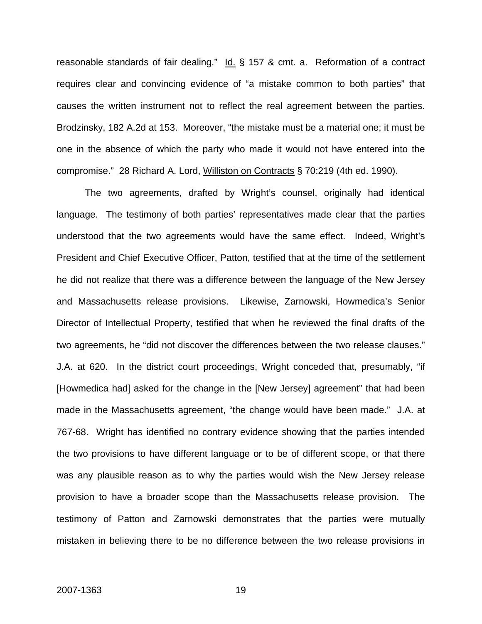reasonable standards of fair dealing."  $Id.$  § 157 & cmt. a. Reformation of a contract requires clear and convincing evidence of "a mistake common to both parties" that causes the written instrument not to reflect the real agreement between the parties. Brodzinsky, 182 A.2d at 153. Moreover, "the mistake must be a material one; it must be one in the absence of which the party who made it would not have entered into the compromise." 28 Richard A. Lord, Williston on Contracts § 70:219 (4th ed. 1990).

The two agreements, drafted by Wright's counsel, originally had identical language. The testimony of both parties' representatives made clear that the parties understood that the two agreements would have the same effect. Indeed, Wright's President and Chief Executive Officer, Patton, testified that at the time of the settlement he did not realize that there was a difference between the language of the New Jersey and Massachusetts release provisions. Likewise, Zarnowski, Howmedica's Senior Director of Intellectual Property, testified that when he reviewed the final drafts of the two agreements, he "did not discover the differences between the two release clauses." J.A. at 620. In the district court proceedings, Wright conceded that, presumably, "if [Howmedica had] asked for the change in the [New Jersey] agreement" that had been made in the Massachusetts agreement, "the change would have been made." J.A. at 767-68. Wright has identified no contrary evidence showing that the parties intended the two provisions to have different language or to be of different scope, or that there was any plausible reason as to why the parties would wish the New Jersey release provision to have a broader scope than the Massachusetts release provision. The testimony of Patton and Zarnowski demonstrates that the parties were mutually mistaken in believing there to be no difference between the two release provisions in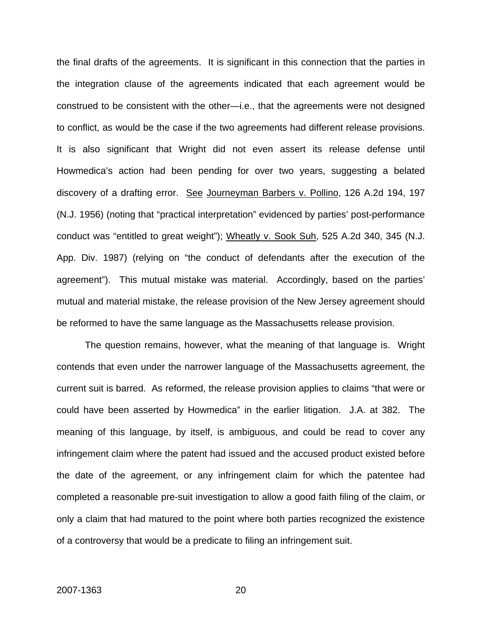the final drafts of the agreements. It is significant in this connection that the parties in the integration clause of the agreements indicated that each agreement would be construed to be consistent with the other—i.e., that the agreements were not designed to conflict, as would be the case if the two agreements had different release provisions. It is also significant that Wright did not even assert its release defense until Howmedica's action had been pending for over two years, suggesting a belated discovery of a drafting error. See Journeyman Barbers v. Pollino, 126 A.2d 194, 197 (N.J. 1956) (noting that "practical interpretation" evidenced by parties' post-performance conduct was "entitled to great weight"); Wheatly v. Sook Suh, 525 A.2d 340, 345 (N.J. App. Div. 1987) (relying on "the conduct of defendants after the execution of the agreement"). This mutual mistake was material. Accordingly, based on the parties' mutual and material mistake, the release provision of the New Jersey agreement should be reformed to have the same language as the Massachusetts release provision.

 The question remains, however, what the meaning of that language is. Wright contends that even under the narrower language of the Massachusetts agreement, the current suit is barred. As reformed, the release provision applies to claims "that were or could have been asserted by Howmedica" in the earlier litigation. J.A. at 382. The meaning of this language, by itself, is ambiguous, and could be read to cover any infringement claim where the patent had issued and the accused product existed before the date of the agreement, or any infringement claim for which the patentee had completed a reasonable pre-suit investigation to allow a good faith filing of the claim, or only a claim that had matured to the point where both parties recognized the existence of a controversy that would be a predicate to filing an infringement suit.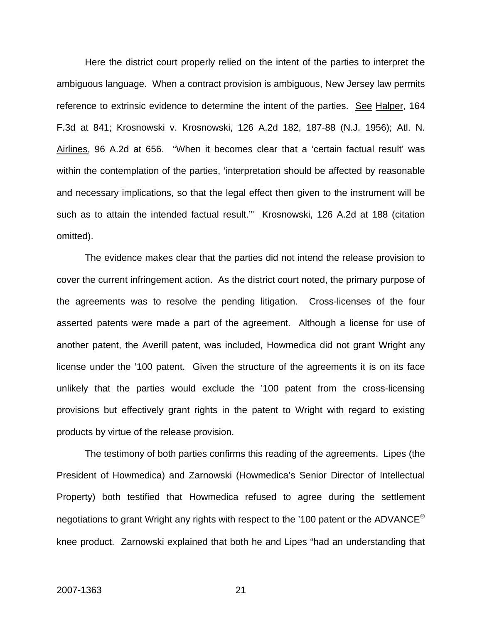Here the district court properly relied on the intent of the parties to interpret the ambiguous language. When a contract provision is ambiguous, New Jersey law permits reference to extrinsic evidence to determine the intent of the parties. See Halper, 164 F.3d at 841; Krosnowski v. Krosnowski, 126 A.2d 182, 187-88 (N.J. 1956); Atl. N. Airlines, 96 A.2d at 656. "When it becomes clear that a 'certain factual result' was within the contemplation of the parties, 'interpretation should be affected by reasonable and necessary implications, so that the legal effect then given to the instrument will be such as to attain the intended factual result.'" Krosnowski, 126 A.2d at 188 (citation omitted).

 The evidence makes clear that the parties did not intend the release provision to cover the current infringement action. As the district court noted, the primary purpose of the agreements was to resolve the pending litigation. Cross-licenses of the four asserted patents were made a part of the agreement. Although a license for use of another patent, the Averill patent, was included, Howmedica did not grant Wright any license under the '100 patent. Given the structure of the agreements it is on its face unlikely that the parties would exclude the '100 patent from the cross-licensing provisions but effectively grant rights in the patent to Wright with regard to existing products by virtue of the release provision.

The testimony of both parties confirms this reading of the agreements. Lipes (the President of Howmedica) and Zarnowski (Howmedica's Senior Director of Intellectual Property) both testified that Howmedica refused to agree during the settlement negotiations to grant Wright any rights with respect to the '100 patent or the ADVANCE<sup>®</sup> knee product. Zarnowski explained that both he and Lipes "had an understanding that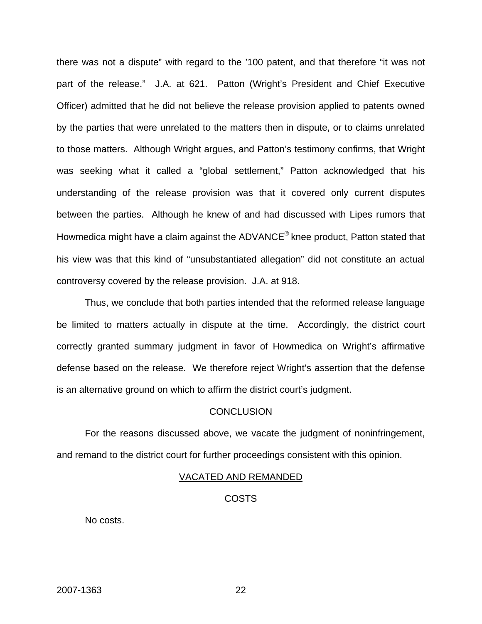there was not a dispute" with regard to the '100 patent, and that therefore "it was not part of the release." J.A. at 621. Patton (Wright's President and Chief Executive Officer) admitted that he did not believe the release provision applied to patents owned by the parties that were unrelated to the matters then in dispute, or to claims unrelated to those matters. Although Wright argues, and Patton's testimony confirms, that Wright was seeking what it called a "global settlement," Patton acknowledged that his understanding of the release provision was that it covered only current disputes between the parties. Although he knew of and had discussed with Lipes rumors that Howmedica might have a claim against the ADVANCE® knee product, Patton stated that his view was that this kind of "unsubstantiated allegation" did not constitute an actual controversy covered by the release provision. J.A. at 918.

 Thus, we conclude that both parties intended that the reformed release language be limited to matters actually in dispute at the time. Accordingly, the district court correctly granted summary judgment in favor of Howmedica on Wright's affirmative defense based on the release. We therefore reject Wright's assertion that the defense is an alternative ground on which to affirm the district court's judgment.

#### **CONCLUSION**

 For the reasons discussed above, we vacate the judgment of noninfringement, and remand to the district court for further proceedings consistent with this opinion.

#### VACATED AND REMANDED

#### **COSTS**

No costs.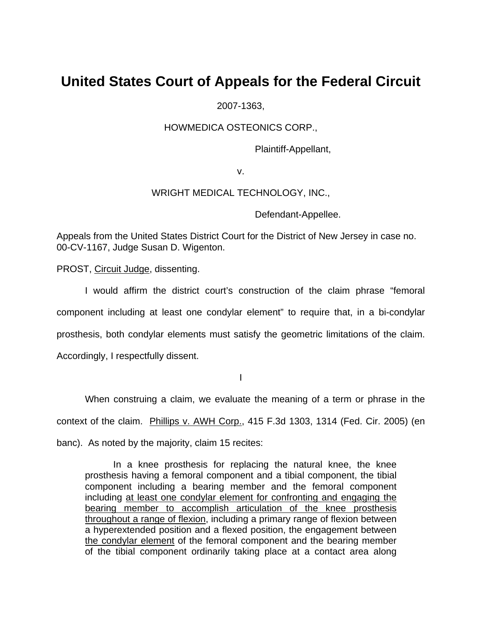# **United States Court of Appeals for the Federal Circuit**

2007-1363,

HOWMEDICA OSTEONICS CORP.,

Plaintiff-Appellant,

v.

### WRIGHT MEDICAL TECHNOLOGY, INC.,

Defendant-Appellee.

Appeals from the United States District Court for the District of New Jersey in case no. 00-CV-1167, Judge Susan D. Wigenton.

PROST, Circuit Judge, dissenting.

I would affirm the district court's construction of the claim phrase "femoral component including at least one condylar element" to require that, in a bi-condylar prosthesis, both condylar elements must satisfy the geometric limitations of the claim. Accordingly, I respectfully dissent.

I

When construing a claim, we evaluate the meaning of a term or phrase in the context of the claim. Phillips v. AWH Corp., 415 F.3d 1303, 1314 (Fed. Cir. 2005) (en banc). As noted by the majority, claim 15 recites:

In a knee prosthesis for replacing the natural knee, the knee prosthesis having a femoral component and a tibial component, the tibial component including a bearing member and the femoral component including at least one condylar element for confronting and engaging the bearing member to accomplish articulation of the knee prosthesis throughout a range of flexion, including a primary range of flexion between a hyperextended position and a flexed position, the engagement between the condylar element of the femoral component and the bearing member of the tibial component ordinarily taking place at a contact area along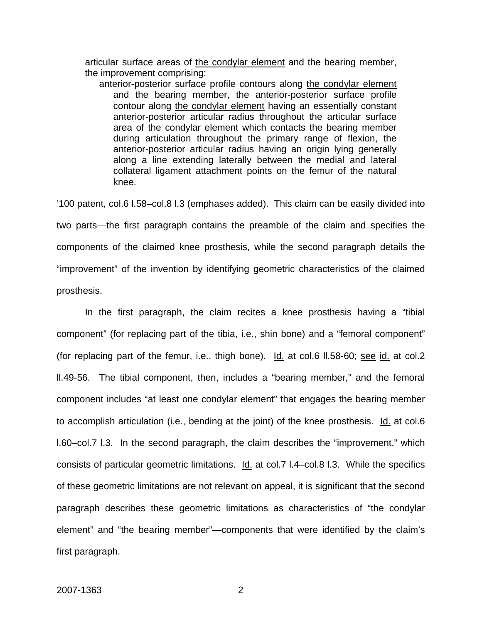articular surface areas of the condylar element and the bearing member, the improvement comprising:

anterior-posterior surface profile contours along the condylar element and the bearing member, the anterior-posterior surface profile contour along the condylar element having an essentially constant anterior-posterior articular radius throughout the articular surface area of the condylar element which contacts the bearing member during articulation throughout the primary range of flexion, the anterior-posterior articular radius having an origin lying generally along a line extending laterally between the medial and lateral collateral ligament attachment points on the femur of the natural knee.

'100 patent, col.6 l.58–col.8 l.3 (emphases added). This claim can be easily divided into two parts—the first paragraph contains the preamble of the claim and specifies the components of the claimed knee prosthesis, while the second paragraph details the "improvement" of the invention by identifying geometric characteristics of the claimed prosthesis.

In the first paragraph, the claim recites a knee prosthesis having a "tibial component" (for replacing part of the tibia, i.e., shin bone) and a "femoral component" (for replacing part of the femur, i.e., thigh bone). Id. at col.6 ll.58-60; see id. at col.2 ll.49-56. The tibial component, then, includes a "bearing member," and the femoral component includes "at least one condylar element" that engages the bearing member to accomplish articulation (i.e., bending at the joint) of the knee prosthesis. Id. at col.6 l.60–col.7 l.3. In the second paragraph, the claim describes the "improvement," which consists of particular geometric limitations. Id. at col.7 l.4–col.8 l.3. While the specifics of these geometric limitations are not relevant on appeal, it is significant that the second paragraph describes these geometric limitations as characteristics of "the condylar element" and "the bearing member"—components that were identified by the claim's first paragraph.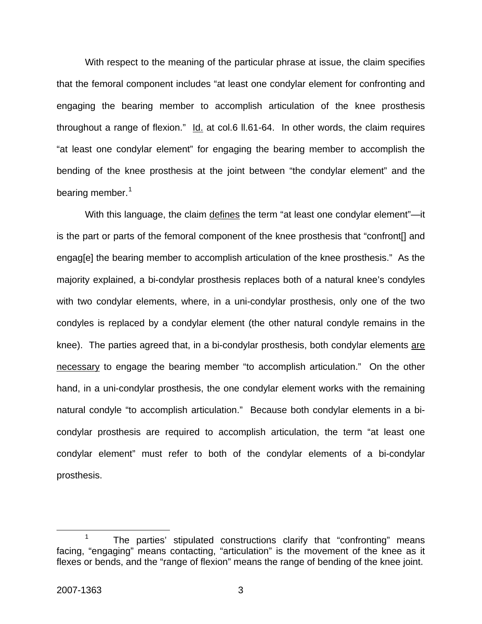With respect to the meaning of the particular phrase at issue, the claim specifies that the femoral component includes "at least one condylar element for confronting and engaging the bearing member to accomplish articulation of the knee prosthesis throughout a range of flexion." Id. at col.6 ll.61-64. In other words, the claim requires "at least one condylar element" for engaging the bearing member to accomplish the bending of the knee prosthesis at the joint between "the condylar element" and the bearing member.<sup>[1](#page-25-0)</sup>

With this language, the claim defines the term "at least one condylar element"—it is the part or parts of the femoral component of the knee prosthesis that "confront[] and engag[e] the bearing member to accomplish articulation of the knee prosthesis." As the majority explained, a bi-condylar prosthesis replaces both of a natural knee's condyles with two condylar elements, where, in a uni-condylar prosthesis, only one of the two condyles is replaced by a condylar element (the other natural condyle remains in the knee). The parties agreed that, in a bi-condylar prosthesis, both condylar elements are necessary to engage the bearing member "to accomplish articulation." On the other hand, in a uni-condylar prosthesis, the one condylar element works with the remaining natural condyle "to accomplish articulation." Because both condylar elements in a bicondylar prosthesis are required to accomplish articulation, the term "at least one condylar element" must refer to both of the condylar elements of a bi-condylar prosthesis.

<span id="page-25-0"></span> $\frac{1}{1}$ <sup>1</sup> The parties' stipulated constructions clarify that "confronting" means facing, "engaging" means contacting, "articulation" is the movement of the knee as it flexes or bends, and the "range of flexion" means the range of bending of the knee joint.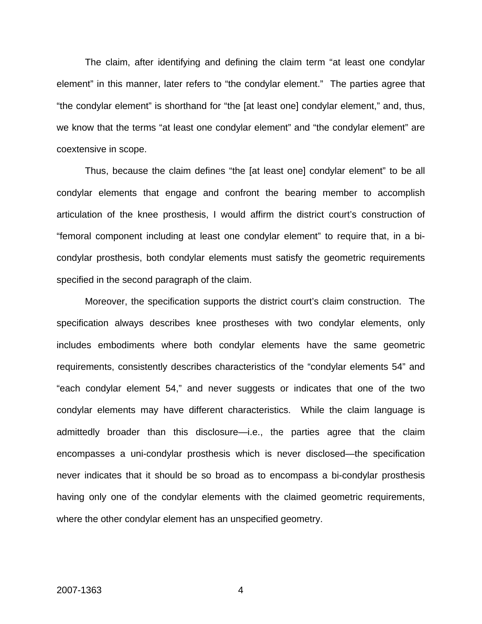The claim, after identifying and defining the claim term "at least one condylar element" in this manner, later refers to "the condylar element." The parties agree that "the condylar element" is shorthand for "the [at least one] condylar element," and, thus, we know that the terms "at least one condylar element" and "the condylar element" are coextensive in scope.

Thus, because the claim defines "the [at least one] condylar element" to be all condylar elements that engage and confront the bearing member to accomplish articulation of the knee prosthesis, I would affirm the district court's construction of "femoral component including at least one condylar element" to require that, in a bicondylar prosthesis, both condylar elements must satisfy the geometric requirements specified in the second paragraph of the claim.

Moreover, the specification supports the district court's claim construction. The specification always describes knee prostheses with two condylar elements, only includes embodiments where both condylar elements have the same geometric requirements, consistently describes characteristics of the "condylar elements 54" and "each condylar element 54," and never suggests or indicates that one of the two condylar elements may have different characteristics. While the claim language is admittedly broader than this disclosure—i.e., the parties agree that the claim encompasses a uni-condylar prosthesis which is never disclosed—the specification never indicates that it should be so broad as to encompass a bi-condylar prosthesis having only one of the condylar elements with the claimed geometric requirements, where the other condylar element has an unspecified geometry.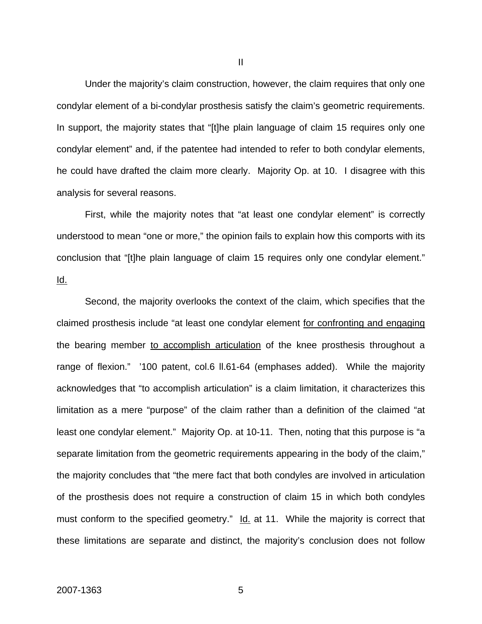Under the majority's claim construction, however, the claim requires that only one condylar element of a bi-condylar prosthesis satisfy the claim's geometric requirements. In support, the majority states that "[t]he plain language of claim 15 requires only one condylar element" and, if the patentee had intended to refer to both condylar elements, he could have drafted the claim more clearly. Majority Op. at 10. I disagree with this analysis for several reasons.

First, while the majority notes that "at least one condylar element" is correctly understood to mean "one or more," the opinion fails to explain how this comports with its conclusion that "[t]he plain language of claim 15 requires only one condylar element." Id.

Second, the majority overlooks the context of the claim, which specifies that the claimed prosthesis include "at least one condylar element for confronting and engaging the bearing member to accomplish articulation of the knee prosthesis throughout a range of flexion." '100 patent, col.6 ll.61-64 (emphases added). While the majority acknowledges that "to accomplish articulation" is a claim limitation, it characterizes this limitation as a mere "purpose" of the claim rather than a definition of the claimed "at least one condylar element." Majority Op. at 10-11. Then, noting that this purpose is "a separate limitation from the geometric requirements appearing in the body of the claim," the majority concludes that "the mere fact that both condyles are involved in articulation of the prosthesis does not require a construction of claim 15 in which both condyles must conform to the specified geometry." Id. at 11. While the majority is correct that these limitations are separate and distinct, the majority's conclusion does not follow

II